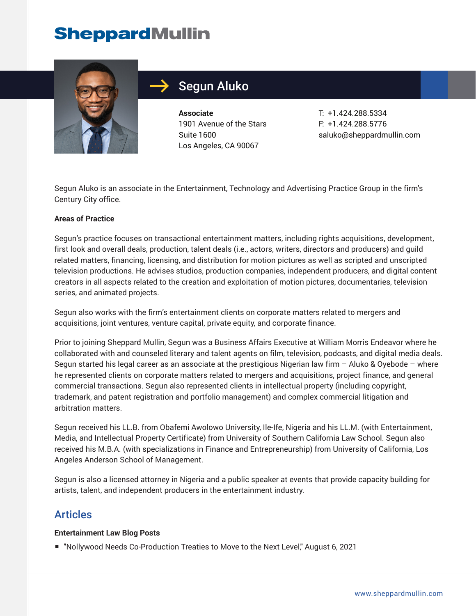## **SheppardMullin**



## Segun Aluko

**Associate** 1901 Avenue of the Stars Suite 1600 Los Angeles, CA 90067

T: +1.424.288.5334 F: +1.424.288.5776 saluko@sheppardmullin.com

Segun Aluko is an associate in the Entertainment, Technology and Advertising Practice Group in the firm's Century City office.

#### **Areas of Practice**

Segun's practice focuses on transactional entertainment matters, including rights acquisitions, development, first look and overall deals, production, talent deals (i.e., actors, writers, directors and producers) and guild related matters, financing, licensing, and distribution for motion pictures as well as scripted and unscripted television productions. He advises studios, production companies, independent producers, and digital content creators in all aspects related to the creation and exploitation of motion pictures, documentaries, television series, and animated projects.

Segun also works with the firm's entertainment clients on corporate matters related to mergers and acquisitions, joint ventures, venture capital, private equity, and corporate finance.

Prior to joining Sheppard Mullin, Segun was a Business Affairs Executive at William Morris Endeavor where he collaborated with and counseled literary and talent agents on film, television, podcasts, and digital media deals. Segun started his legal career as an associate at the prestigious Nigerian law firm – Aluko & Oyebode – where he represented clients on corporate matters related to mergers and acquisitions, project finance, and general commercial transactions. Segun also represented clients in intellectual property (including copyright, trademark, and patent registration and portfolio management) and complex commercial litigation and arbitration matters.

Segun received his LL.B. from Obafemi Awolowo University, Ile-Ife, Nigeria and his LL.M. (with Entertainment, Media, and Intellectual Property Certificate) from University of Southern California Law School. Segun also received his M.B.A. (with specializations in Finance and Entrepreneurship) from University of California, Los Angeles Anderson School of Management.

Segun is also a licensed attorney in Nigeria and a public speaker at events that provide capacity building for artists, talent, and independent producers in the entertainment industry.

#### Articles

#### **Entertainment Law Blog Posts**

■ "Nollywood Needs Co-Production Treaties to Move to the Next Level," August 6, 2021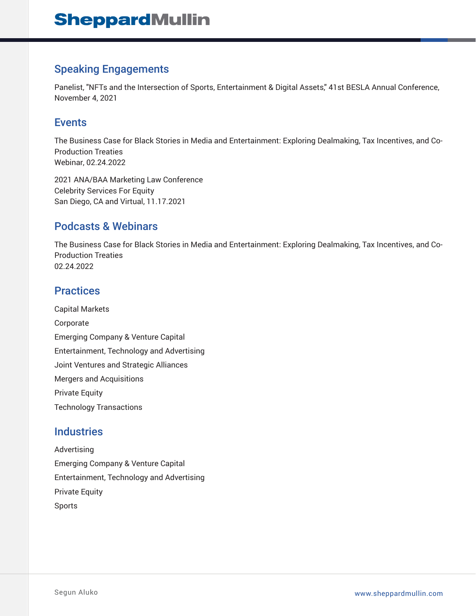#### Speaking Engagements

Panelist, "NFTs and the Intersection of Sports, Entertainment & Digital Assets," 41st BESLA Annual Conference, November 4, 2021

#### Events

The Business Case for Black Stories in Media and Entertainment: Exploring Dealmaking, Tax Incentives, and Co-Production Treaties Webinar, 02.24.2022

2021 ANA/BAA Marketing Law Conference Celebrity Services For Equity San Diego, CA and Virtual, 11.17.2021

#### Podcasts & Webinars

The Business Case for Black Stories in Media and Entertainment: Exploring Dealmaking, Tax Incentives, and Co-Production Treaties 02.24.2022

### **Practices**

Capital Markets Corporate Emerging Company & Venture Capital Entertainment, Technology and Advertising Joint Ventures and Strategic Alliances Mergers and Acquisitions Private Equity Technology Transactions

#### **Industries**

Advertising Emerging Company & Venture Capital Entertainment, Technology and Advertising Private Equity Sports